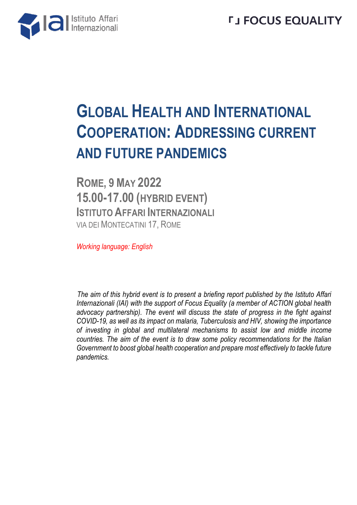

## **GLOBAL HEALTH AND INTERNATIONAL COOPERATION: ADDRESSING CURRENT AND FUTURE PANDEMICS**

**ROME, 9 MAY 2022 15.00-17.00 (HYBRID EVENT) ISTITUTO AFFARI INTERNAZIONALI** VIA DEI MONTECATINI 17, ROME

*Working language: English*

*The aim of this hybrid event is to present a briefing report published by the Istituto Affari Internazionali (IAI) with the support of Focus Equality (a member of ACTION global health advocacy partnership). The event will discuss the state of progress in the fight against COVID-19, as well as its impact on malaria, Tuberculosis and HIV, showing the importance of investing in global and multilateral mechanisms to assist low and middle income countries. The aim of the event is to draw some policy recommendations for the Italian Government to boost global health cooperation and prepare most effectively to tackle future pandemics.*